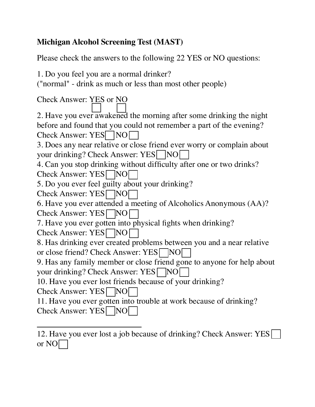## **Michigan Alcohol Screening Test (MAST)**

Please check the answers to the following 22 YES or NO questions:

1. Do you feel you are a normal drinker?

("normal" - drink as much or less than most other people)

| <b>Check Answer: YES or NO</b>                                         |
|------------------------------------------------------------------------|
| 2. Have you ever awakened the morning after some drinking the night    |
| before and found that you could not remember a part of the evening?    |
| Check Answer: YES   NO                                                 |
| 3. Does any near relative or close friend ever worry or complain about |
| your drinking? Check Answer: YES     NO                                |
| 4. Can you stop drinking without difficulty after one or two drinks?   |
| Check Answer: YES NO                                                   |
| 5. Do you ever feel guilty about your drinking?                        |
| Check Answer: YES NO                                                   |
| 6. Have you ever attended a meeting of Alcoholics Anonymous (AA)?      |
| Check Answer: YES NO                                                   |
| 7. Have you ever gotten into physical fights when drinking?            |
| Check Answer: YES NO                                                   |
| 8. Has drinking ever created problems between you and a near relative  |
| or close friend? Check Answer: YES NO                                  |
| 9. Has any family member or close friend gone to anyone for help about |
| your drinking? Check Answer: YES NO                                    |
| 10. Have you ever lost friends because of your drinking?               |
| Check Answer: YES NO                                                   |
| 11. Have you ever gotten into trouble at work because of drinking?     |
| <b>Check Answer: YES</b><br>$\overline{N}$                             |

<sup>12.</sup> Have you ever lost a job because of drinking? Check Answer: YES or NO $\Box$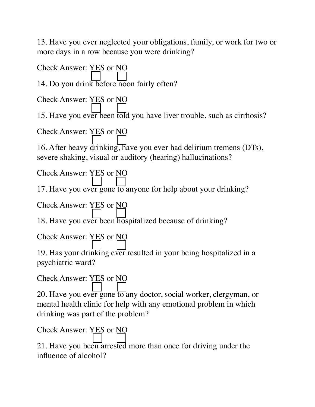13. Have you ever neglected your obligations, family, or work for two or more days in a row because you were drinking?

Check Answer: YES or NO 14. Do you drink before noon fairly often? Check Answer: YES or NO 15. Have you ever been told you have liver trouble, such as cirrhosis? Check Answer: YES or NO 16. After heavy drinking, have you ever had delirium tremens (DTs), severe shaking, visual or auditory (hearing) hallucinations? Check Answer: YES or NO 17. Have you ever gone to anyone for help about your drinking? Check Answer: YES or NO 18. Have you ever been hospitalized because of drinking? Check Answer: YES or NO 19. Has your drinking ever resulted in your being hospitalized in a psychiatric ward? Check Answer: YES or NO 20. Have you ever gone to any doctor, social worker, clergyman, or mental health clinic for help with any emotional problem in which drinking was part of the problem? Check Answer: YES or NO 21. Have you been arrested more than once for driving under the influence of alcohol?